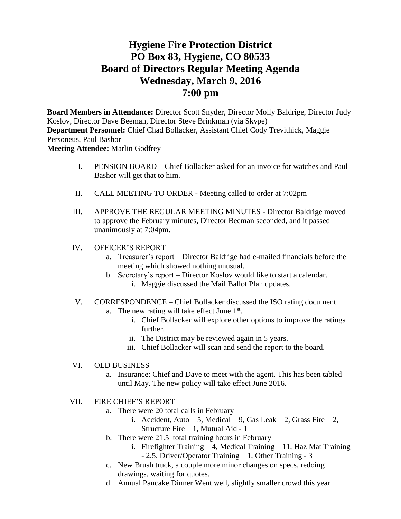# **Hygiene Fire Protection District PO Box 83, Hygiene, CO 80533 Board of Directors Regular Meeting Agenda Wednesday, March 9, 2016 7:00 pm**

**Board Members in Attendance:** Director Scott Snyder, Director Molly Baldrige, Director Judy Koslov, Director Dave Beeman, Director Steve Brinkman (via Skype) **Department Personnel:** Chief Chad Bollacker, Assistant Chief Cody Trevithick, Maggie Personeus, Paul Bashor **Meeting Attendee:** Marlin Godfrey

- I. PENSION BOARD Chief Bollacker asked for an invoice for watches and Paul Bashor will get that to him.
- II. CALL MEETING TO ORDER Meeting called to order at 7:02pm
- III. APPROVE THE REGULAR MEETING MINUTES Director Baldrige moved to approve the February minutes, Director Beeman seconded, and it passed unanimously at 7:04pm.
- IV. OFFICER'S REPORT
	- a. Treasurer's report Director Baldrige had e-mailed financials before the meeting which showed nothing unusual.
	- b. Secretary's report Director Koslov would like to start a calendar. i. Maggie discussed the Mail Ballot Plan updates.
- V. CORRESPONDENCE Chief Bollacker discussed the ISO rating document. a. The new rating will take effect June  $1<sup>st</sup>$ .
	- i. Chief Bollacker will explore other options to improve the ratings further.
	- ii. The District may be reviewed again in 5 years.
	- iii. Chief Bollacker will scan and send the report to the board.
- VI. OLD BUSINESS
	- a. Insurance: Chief and Dave to meet with the agent. This has been tabled until May. The new policy will take effect June 2016.
- VII. FIRE CHIEF'S REPORT
	- a. There were 20 total calls in February
		- i. Accident, Auto 5, Medical 9, Gas Leak 2, Grass Fire 2, Structure Fire – 1, Mutual Aid - 1
	- b. There were 21.5 total training hours in February
		- i. Firefighter Training 4, Medical Training 11, Haz Mat Training - 2.5, Driver/Operator Training – 1, Other Training - 3
	- c. New Brush truck, a couple more minor changes on specs, redoing drawings, waiting for quotes.
	- d. Annual Pancake Dinner Went well, slightly smaller crowd this year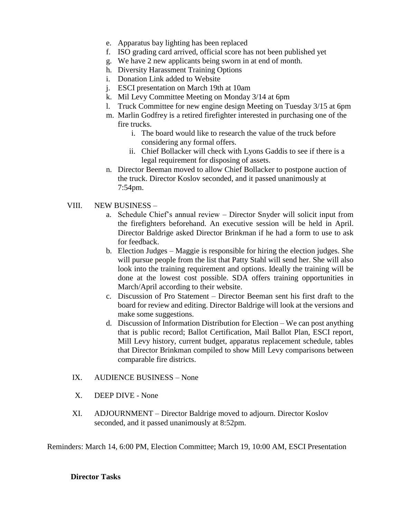- e. Apparatus bay lighting has been replaced
- f. ISO grading card arrived, official score has not been published yet
- g. We have 2 new applicants being sworn in at end of month.
- h. Diversity Harassment Training Options
- i. Donation Link added to Website
- j. ESCI presentation on March 19th at 10am
- k. Mil Levy Committee Meeting on Monday 3/14 at 6pm
- l. Truck Committee for new engine design Meeting on Tuesday 3/15 at 6pm
- m. Marlin Godfrey is a retired firefighter interested in purchasing one of the fire trucks.
	- i. The board would like to research the value of the truck before considering any formal offers.
	- ii. Chief Bollacker will check with Lyons Gaddis to see if there is a legal requirement for disposing of assets.
- n. Director Beeman moved to allow Chief Bollacker to postpone auction of the truck. Director Koslov seconded, and it passed unanimously at 7:54pm.

# VIII. NEW BUSINESS –

- a. Schedule Chief's annual review Director Snyder will solicit input from the firefighters beforehand. An executive session will be held in April. Director Baldrige asked Director Brinkman if he had a form to use to ask for feedback.
- b. Election Judges Maggie is responsible for hiring the election judges. She will pursue people from the list that Patty Stahl will send her. She will also look into the training requirement and options. Ideally the training will be done at the lowest cost possible. SDA offers training opportunities in March/April according to their website.
- c. Discussion of Pro Statement Director Beeman sent his first draft to the board for review and editing. Director Baldrige will look at the versions and make some suggestions.
- d. Discussion of Information Distribution for Election We can post anything that is public record; Ballot Certification, Mail Ballot Plan, ESCI report, Mill Levy history, current budget, apparatus replacement schedule, tables that Director Brinkman compiled to show Mill Levy comparisons between comparable fire districts.
- IX. AUDIENCE BUSINESS None
- X. DEEP DIVE None
- XI. ADJOURNMENT Director Baldrige moved to adjourn. Director Koslov seconded, and it passed unanimously at 8:52pm.

Reminders: March 14, 6:00 PM, Election Committee; March 19, 10:00 AM, ESCI Presentation

# **Director Tasks**